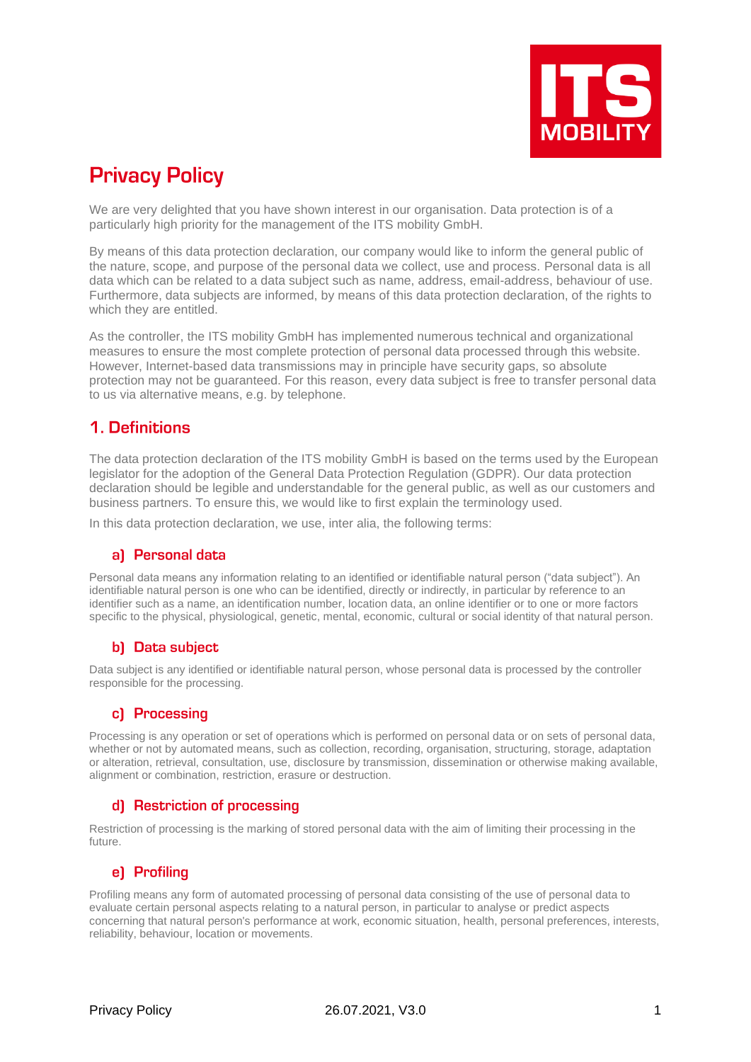

# **Privacy Policy**

We are very delighted that you have shown interest in our organisation. Data protection is of a particularly high priority for the management of the ITS mobility GmbH.

By means of this data protection declaration, our company would like to inform the general public of the nature, scope, and purpose of the personal data we collect, use and process. Personal data is all data which can be related to a data subject such as name, address, email-address, behaviour of use. Furthermore, data subjects are informed, by means of this data protection declaration, of the rights to which they are entitled.

As the controller, the ITS mobility GmbH has implemented numerous technical and organizational measures to ensure the most complete protection of personal data processed through this website. However, Internet-based data transmissions may in principle have security gaps, so absolute protection may not be guaranteed. For this reason, every data subject is free to transfer personal data to us via alternative means, e.g. by telephone.

# 1. Definitions

The data protection declaration of the ITS mobility GmbH is based on the terms used by the European legislator for the adoption of the General Data Protection Regulation (GDPR). Our data protection declaration should be legible and understandable for the general public, as well as our customers and business partners. To ensure this, we would like to first explain the terminology used.

In this data protection declaration, we use, inter alia, the following terms:

### al Personal data

Personal data means any information relating to an identified or identifiable natural person ("data subject"). An identifiable natural person is one who can be identified, directly or indirectly, in particular by reference to an identifier such as a name, an identification number, location data, an online identifier or to one or more factors specific to the physical, physiological, genetic, mental, economic, cultural or social identity of that natural person.

### b) Data subiect

Data subject is any identified or identifiable natural person, whose personal data is processed by the controller responsible for the processing.

#### c) Processing

Processing is any operation or set of operations which is performed on personal data or on sets of personal data, whether or not by automated means, such as collection, recording, organisation, structuring, storage, adaptation or alteration, retrieval, consultation, use, disclosure by transmission, dissemination or otherwise making available, alignment or combination, restriction, erasure or destruction.

#### d) Restriction of processing

Restriction of processing is the marking of stored personal data with the aim of limiting their processing in the future.

### e) Profiling

Profiling means any form of automated processing of personal data consisting of the use of personal data to evaluate certain personal aspects relating to a natural person, in particular to analyse or predict aspects concerning that natural person's performance at work, economic situation, health, personal preferences, interests, reliability, behaviour, location or movements.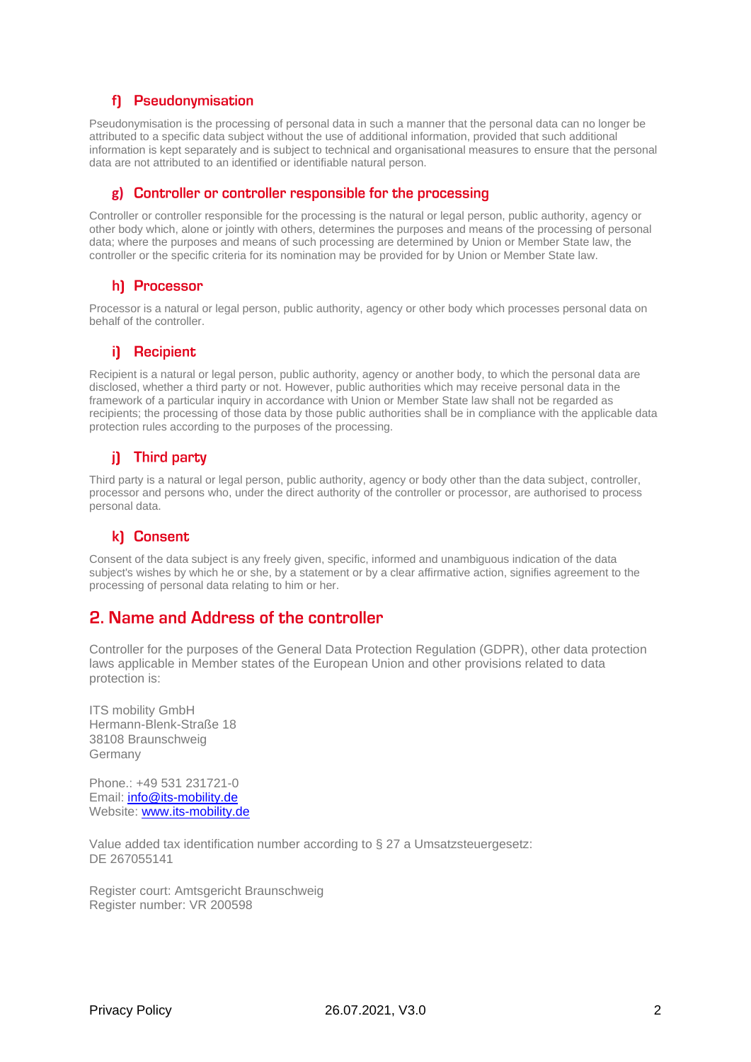#### f) Pseudonymisation

Pseudonymisation is the processing of personal data in such a manner that the personal data can no longer be attributed to a specific data subject without the use of additional information, provided that such additional information is kept separately and is subject to technical and organisational measures to ensure that the personal data are not attributed to an identified or identifiable natural person.

#### **g)**

Controller or controller responsible for the processing is the natural or legal person, public authority, agency or other body which, alone or jointly with others, determines the purposes and means of the processing of personal data; where the purposes and means of such processing are determined by Union or Member State law, the controller or the specific criteria for its nomination may be provided for by Union or Member State law.

#### h) Processor

Processor is a natural or legal person, public authority, agency or other body which processes personal data on behalf of the controller.

#### i) Recipient

Recipient is a natural or legal person, public authority, agency or another body, to which the personal data are disclosed, whether a third party or not. However, public authorities which may receive personal data in the framework of a particular inquiry in accordance with Union or Member State law shall not be regarded as recipients; the processing of those data by those public authorities shall be in compliance with the applicable data protection rules according to the purposes of the processing.

### i) Third party

Third party is a natural or legal person, public authority, agency or body other than the data subject, controller, processor and persons who, under the direct authority of the controller or processor, are authorised to process personal data.

#### k) Consent

Consent of the data subject is any freely given, specific, informed and unambiguous indication of the data subject's wishes by which he or she, by a statement or by a clear affirmative action, signifies agreement to the processing of personal data relating to him or her.

### 2. Name and Address of the controller

Controller for the purposes of the General Data Protection Regulation (GDPR), other data protection laws applicable in Member states of the European Union and other provisions related to data protection is:

ITS mobility GmbH Hermann-Blenk-Straße 18 38108 Braunschweig Germany

Phone.: +49 531 231721-0 Email: [info@its-mobility.de](mailto:info@its-mobility.de) Website: [www.its-mobility.de](http://www.its-mobility.de/)

Value added tax identification number according to § 27 a Umsatzsteuergesetz: DE 267055141

Register court: Amtsgericht Braunschweig Register number: VR 200598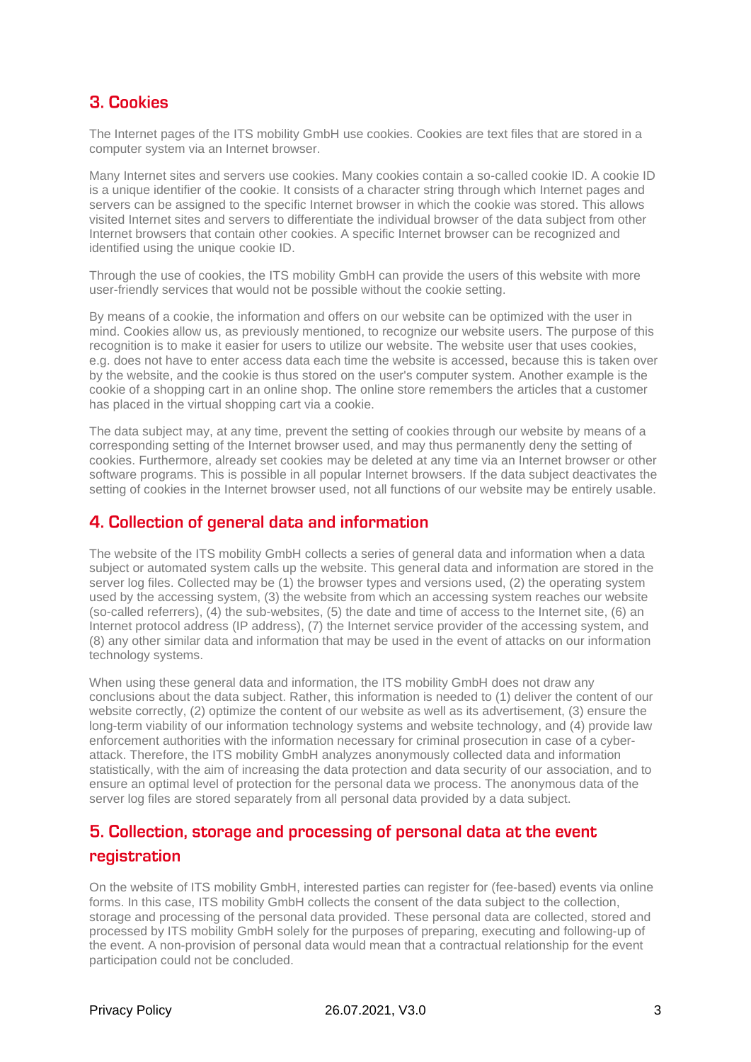# 3. Cookies

The Internet pages of the ITS mobility GmbH use cookies. Cookies are text files that are stored in a computer system via an Internet browser.

Many Internet sites and servers use cookies. Many cookies contain a so-called cookie ID. A cookie ID is a unique identifier of the cookie. It consists of a character string through which Internet pages and servers can be assigned to the specific Internet browser in which the cookie was stored. This allows visited Internet sites and servers to differentiate the individual browser of the data subject from other Internet browsers that contain other cookies. A specific Internet browser can be recognized and identified using the unique cookie ID.

Through the use of cookies, the ITS mobility GmbH can provide the users of this website with more user-friendly services that would not be possible without the cookie setting.

By means of a cookie, the information and offers on our website can be optimized with the user in mind. Cookies allow us, as previously mentioned, to recognize our website users. The purpose of this recognition is to make it easier for users to utilize our website. The website user that uses cookies, e.g. does not have to enter access data each time the website is accessed, because this is taken over by the website, and the cookie is thus stored on the user's computer system. Another example is the cookie of a shopping cart in an online shop. The online store remembers the articles that a customer has placed in the virtual shopping cart via a cookie.

The data subject may, at any time, prevent the setting of cookies through our website by means of a corresponding setting of the Internet browser used, and may thus permanently deny the setting of cookies. Furthermore, already set cookies may be deleted at any time via an Internet browser or other software programs. This is possible in all popular Internet browsers. If the data subject deactivates the setting of cookies in the Internet browser used, not all functions of our website may be entirely usable.

## 4. Collection of general data and information

The website of the ITS mobility GmbH collects a series of general data and information when a data subject or automated system calls up the website. This general data and information are stored in the server log files. Collected may be (1) the browser types and versions used, (2) the operating system used by the accessing system, (3) the website from which an accessing system reaches our website (so-called referrers), (4) the sub-websites, (5) the date and time of access to the Internet site, (6) an Internet protocol address (IP address), (7) the Internet service provider of the accessing system, and (8) any other similar data and information that may be used in the event of attacks on our information technology systems.

When using these general data and information, the ITS mobility GmbH does not draw any conclusions about the data subject. Rather, this information is needed to (1) deliver the content of our website correctly, (2) optimize the content of our website as well as its advertisement, (3) ensure the long-term viability of our information technology systems and website technology, and (4) provide law enforcement authorities with the information necessary for criminal prosecution in case of a cyberattack. Therefore, the ITS mobility GmbH analyzes anonymously collected data and information statistically, with the aim of increasing the data protection and data security of our association, and to ensure an optimal level of protection for the personal data we process. The anonymous data of the server log files are stored separately from all personal data provided by a data subject.

# 5. Collection, storage and processing of personal data at the event registration

On the website of ITS mobility GmbH, interested parties can register for (fee-based) events via online forms. In this case, ITS mobility GmbH collects the consent of the data subject to the collection, storage and processing of the personal data provided. These personal data are collected, stored and processed by ITS mobility GmbH solely for the purposes of preparing, executing and following-up of the event. A non-provision of personal data would mean that a contractual relationship for the event participation could not be concluded.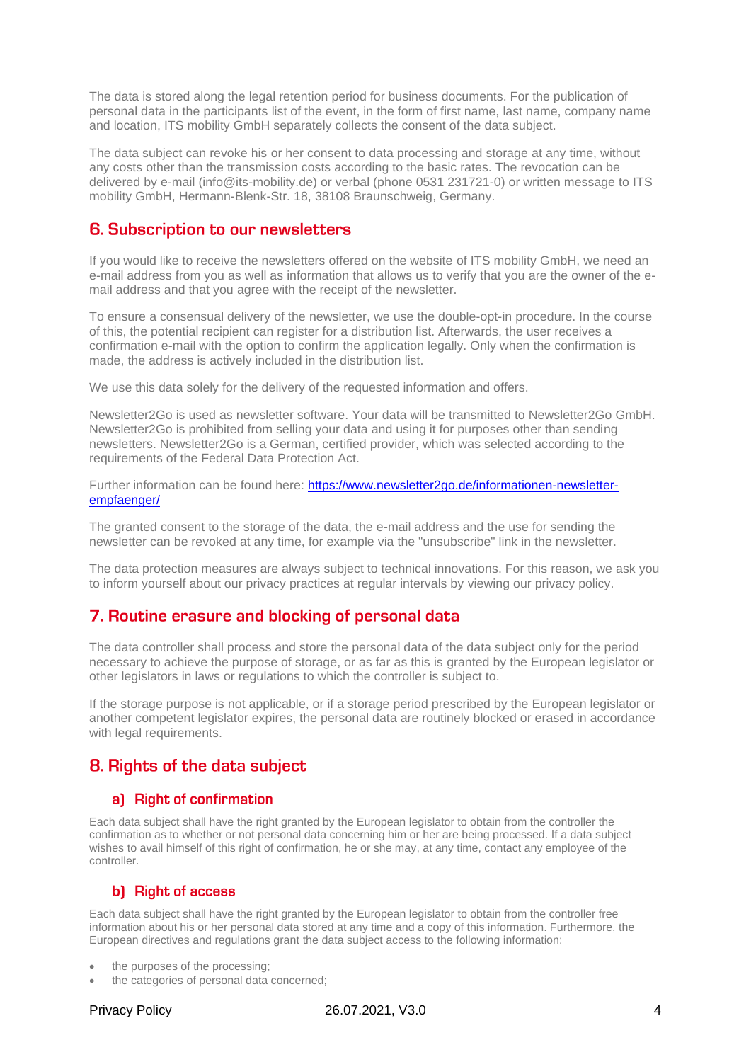The data is stored along the legal retention period for business documents. For the publication of personal data in the participants list of the event, in the form of first name, last name, company name and location, ITS mobility GmbH separately collects the consent of the data subject.

The data subject can revoke his or her consent to data processing and storage at any time, without any costs other than the transmission costs according to the basic rates. The revocation can be delivered by e-mail (info@its-mobility.de) or verbal (phone 0531 231721-0) or written message to ITS mobility GmbH, Hermann-Blenk-Str. 18, 38108 Braunschweig, Germany.

## 6. Subscription to our newsletters

If you would like to receive the newsletters offered on the website of ITS mobility GmbH, we need an e-mail address from you as well as information that allows us to verify that you are the owner of the email address and that you agree with the receipt of the newsletter.

To ensure a consensual delivery of the newsletter, we use the double-opt-in procedure. In the course of this, the potential recipient can register for a distribution list. Afterwards, the user receives a confirmation e-mail with the option to confirm the application legally. Only when the confirmation is made, the address is actively included in the distribution list.

We use this data solely for the delivery of the requested information and offers.

Newsletter2Go is used as newsletter software. Your data will be transmitted to Newsletter2Go GmbH. Newsletter2Go is prohibited from selling your data and using it for purposes other than sending newsletters. Newsletter2Go is a German, certified provider, which was selected according to the requirements of the Federal Data Protection Act.

Further information can be found here: [https://www.newsletter2go.de/informationen-newsletter](https://www.newsletter2go.de/informationen-newsletter-empfaenger/)[empfaenger/](https://www.newsletter2go.de/informationen-newsletter-empfaenger/)

The granted consent to the storage of the data, the e-mail address and the use for sending the newsletter can be revoked at any time, for example via the "unsubscribe" link in the newsletter.

The data protection measures are always subject to technical innovations. For this reason, we ask you to inform yourself about our privacy practices at regular intervals by viewing our privacy policy.

### 7. Routine erasure and blocking of personal data

The data controller shall process and store the personal data of the data subject only for the period necessary to achieve the purpose of storage, or as far as this is granted by the European legislator or other legislators in laws or regulations to which the controller is subject to.

If the storage purpose is not applicable, or if a storage period prescribed by the European legislator or another competent legislator expires, the personal data are routinely blocked or erased in accordance with legal requirements.

# 8. Rights of the data subject

#### a) Right of confirmation

Each data subject shall have the right granted by the European legislator to obtain from the controller the confirmation as to whether or not personal data concerning him or her are being processed. If a data subject wishes to avail himself of this right of confirmation, he or she may, at any time, contact any employee of the controller.

### b) Right of access

Each data subject shall have the right granted by the European legislator to obtain from the controller free information about his or her personal data stored at any time and a copy of this information. Furthermore, the European directives and regulations grant the data subject access to the following information:

- the purposes of the processing;
- the categories of personal data concerned;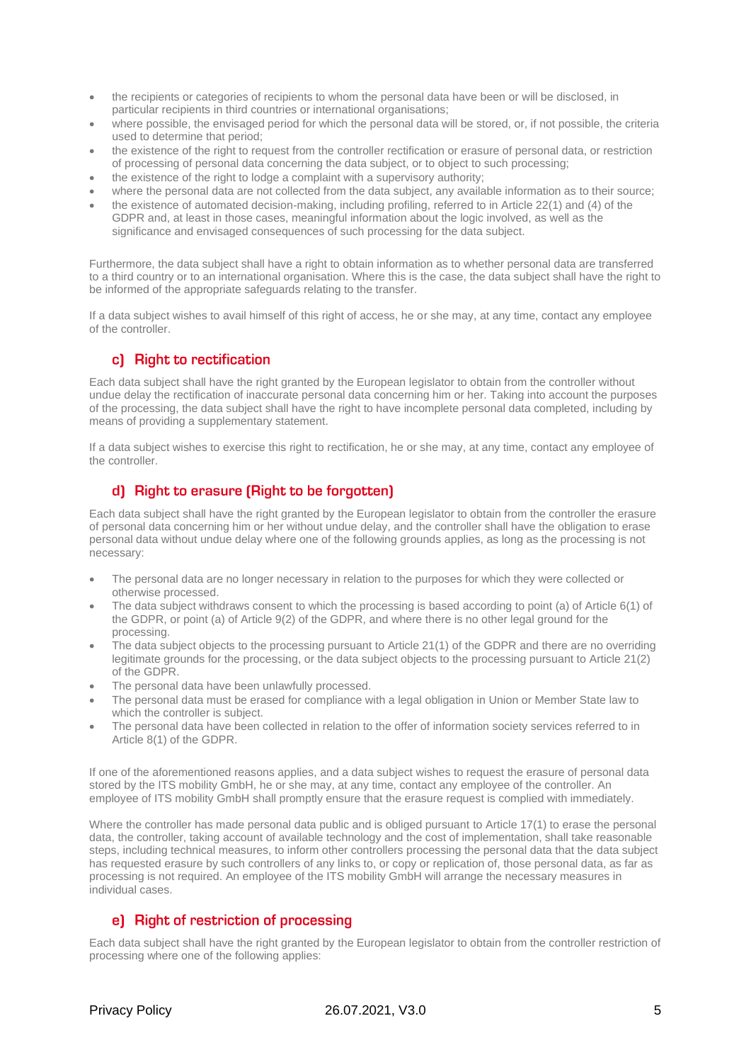- the recipients or categories of recipients to whom the personal data have been or will be disclosed, in particular recipients in third countries or international organisations;
- where possible, the envisaged period for which the personal data will be stored, or, if not possible, the criteria used to determine that period;
- the existence of the right to request from the controller rectification or erasure of personal data, or restriction of processing of personal data concerning the data subject, or to object to such processing;
- the existence of the right to lodge a complaint with a supervisory authority;
- where the personal data are not collected from the data subject, any available information as to their source;
- the existence of automated decision-making, including profiling, referred to in Article 22(1) and (4) of the GDPR and, at least in those cases, meaningful information about the logic involved, as well as the significance and envisaged consequences of such processing for the data subject.

Furthermore, the data subject shall have a right to obtain information as to whether personal data are transferred to a third country or to an international organisation. Where this is the case, the data subject shall have the right to be informed of the appropriate safeguards relating to the transfer.

If a data subject wishes to avail himself of this right of access, he or she may, at any time, contact any employee of the controller.

#### c) Right to rectification

Each data subject shall have the right granted by the European legislator to obtain from the controller without undue delay the rectification of inaccurate personal data concerning him or her. Taking into account the purposes of the processing, the data subject shall have the right to have incomplete personal data completed, including by means of providing a supplementary statement.

If a data subject wishes to exercise this right to rectification, he or she may, at any time, contact any employee of the controller.

### d) Right to erasure (Right to be forgotten)

Each data subject shall have the right granted by the European legislator to obtain from the controller the erasure of personal data concerning him or her without undue delay, and the controller shall have the obligation to erase personal data without undue delay where one of the following grounds applies, as long as the processing is not necessary:

- The personal data are no longer necessary in relation to the purposes for which they were collected or otherwise processed.
- The data subject withdraws consent to which the processing is based according to point (a) of Article 6(1) of the GDPR, or point (a) of Article 9(2) of the GDPR, and where there is no other legal ground for the processing.
- The data subject objects to the processing pursuant to Article 21(1) of the GDPR and there are no overriding legitimate grounds for the processing, or the data subject objects to the processing pursuant to Article 21(2) of the GDPR.
- The personal data have been unlawfully processed.
- The personal data must be erased for compliance with a legal obligation in Union or Member State law to which the controller is subject.
- The personal data have been collected in relation to the offer of information society services referred to in Article 8(1) of the GDPR.

If one of the aforementioned reasons applies, and a data subject wishes to request the erasure of personal data stored by the ITS mobility GmbH, he or she may, at any time, contact any employee of the controller. An employee of ITS mobility GmbH shall promptly ensure that the erasure request is complied with immediately.

Where the controller has made personal data public and is obliged pursuant to Article 17(1) to erase the personal data, the controller, taking account of available technology and the cost of implementation, shall take reasonable steps, including technical measures, to inform other controllers processing the personal data that the data subject has requested erasure by such controllers of any links to, or copy or replication of, those personal data, as far as processing is not required. An employee of the ITS mobility GmbH will arrange the necessary measures in individual cases.

### e) Right of restriction of processing

Each data subject shall have the right granted by the European legislator to obtain from the controller restriction of processing where one of the following applies: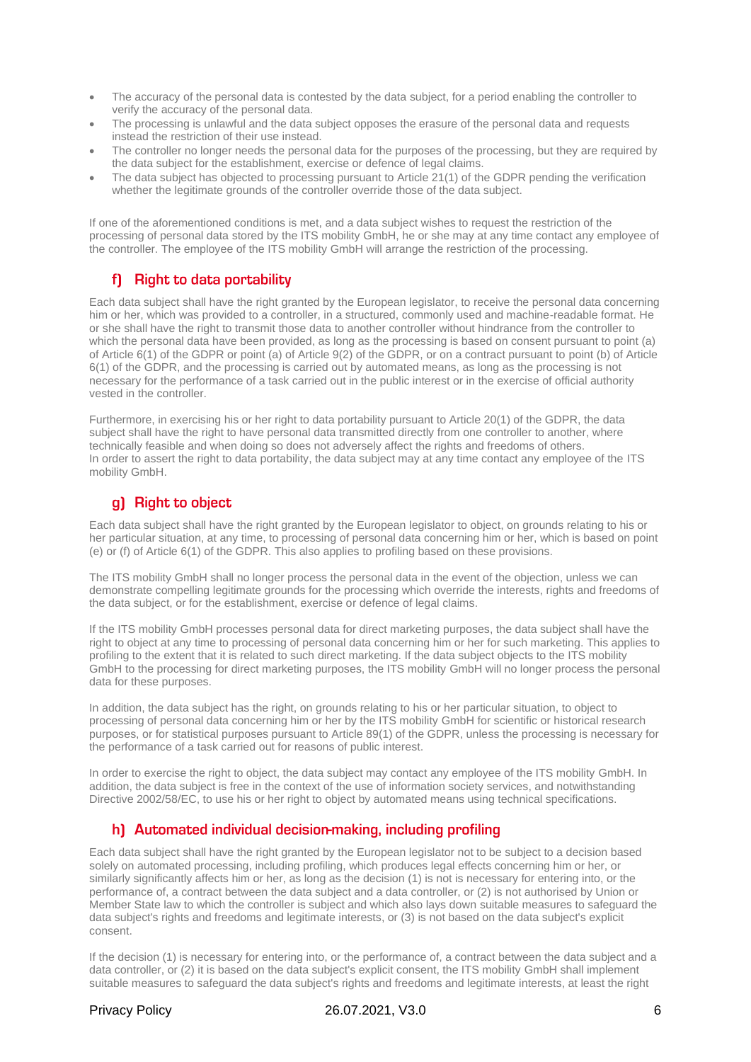- The accuracy of the personal data is contested by the data subject, for a period enabling the controller to verify the accuracy of the personal data.
- The processing is unlawful and the data subject opposes the erasure of the personal data and requests instead the restriction of their use instead.
- The controller no longer needs the personal data for the purposes of the processing, but they are required by the data subject for the establishment, exercise or defence of legal claims.
- The data subject has objected to processing pursuant to Article 21(1) of the GDPR pending the verification whether the legitimate grounds of the controller override those of the data subject.

If one of the aforementioned conditions is met, and a data subject wishes to request the restriction of the processing of personal data stored by the ITS mobility GmbH, he or she may at any time contact any employee of the controller. The employee of the ITS mobility GmbH will arrange the restriction of the processing.

## f) Right to data portability

Each data subject shall have the right granted by the European legislator, to receive the personal data concerning him or her, which was provided to a controller, in a structured, commonly used and machine-readable format. He or she shall have the right to transmit those data to another controller without hindrance from the controller to which the personal data have been provided, as long as the processing is based on consent pursuant to point (a) of Article 6(1) of the GDPR or point (a) of Article 9(2) of the GDPR, or on a contract pursuant to point (b) of Article 6(1) of the GDPR, and the processing is carried out by automated means, as long as the processing is not necessary for the performance of a task carried out in the public interest or in the exercise of official authority vested in the controller.

Furthermore, in exercising his or her right to data portability pursuant to Article 20(1) of the GDPR, the data subject shall have the right to have personal data transmitted directly from one controller to another, where technically feasible and when doing so does not adversely affect the rights and freedoms of others. In order to assert the right to data portability, the data subject may at any time contact any employee of the ITS mobility GmbH.

#### g) Right to object

Each data subject shall have the right granted by the European legislator to object, on grounds relating to his or her particular situation, at any time, to processing of personal data concerning him or her, which is based on point (e) or (f) of Article 6(1) of the GDPR. This also applies to profiling based on these provisions.

The ITS mobility GmbH shall no longer process the personal data in the event of the objection, unless we can demonstrate compelling legitimate grounds for the processing which override the interests, rights and freedoms of the data subject, or for the establishment, exercise or defence of legal claims.

If the ITS mobility GmbH processes personal data for direct marketing purposes, the data subject shall have the right to object at any time to processing of personal data concerning him or her for such marketing. This applies to profiling to the extent that it is related to such direct marketing. If the data subject objects to the ITS mobility GmbH to the processing for direct marketing purposes, the ITS mobility GmbH will no longer process the personal data for these purposes.

In addition, the data subject has the right, on grounds relating to his or her particular situation, to object to processing of personal data concerning him or her by the ITS mobility GmbH for scientific or historical research purposes, or for statistical purposes pursuant to Article 89(1) of the GDPR, unless the processing is necessary for the performance of a task carried out for reasons of public interest.

In order to exercise the right to object, the data subject may contact any employee of the ITS mobility GmbH. In addition, the data subject is free in the context of the use of information society services, and notwithstanding Directive 2002/58/EC, to use his or her right to object by automated means using technical specifications.

### h) Automated individual decision-making, including profiling

Each data subject shall have the right granted by the European legislator not to be subject to a decision based solely on automated processing, including profiling, which produces legal effects concerning him or her, or similarly significantly affects him or her, as long as the decision (1) is not is necessary for entering into, or the performance of, a contract between the data subject and a data controller, or (2) is not authorised by Union or Member State law to which the controller is subject and which also lays down suitable measures to safeguard the data subject's rights and freedoms and legitimate interests, or (3) is not based on the data subject's explicit consent.

If the decision (1) is necessary for entering into, or the performance of, a contract between the data subject and a data controller, or (2) it is based on the data subject's explicit consent, the ITS mobility GmbH shall implement suitable measures to safeguard the data subject's rights and freedoms and legitimate interests, at least the right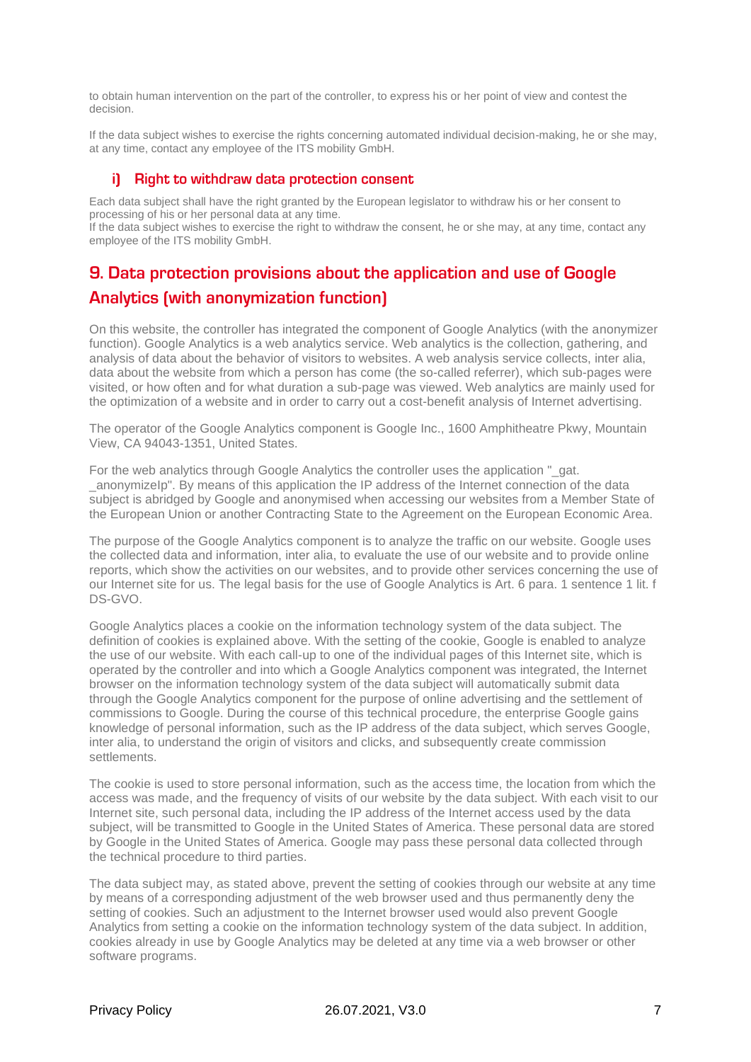to obtain human intervention on the part of the controller, to express his or her point of view and contest the decision.

If the data subject wishes to exercise the rights concerning automated individual decision-making, he or she may, at any time, contact any employee of the ITS mobility GmbH.

#### i) Right to withdraw data protection consent

Each data subject shall have the right granted by the European legislator to withdraw his or her consent to processing of his or her personal data at any time.

If the data subject wishes to exercise the right to withdraw the consent, he or she may, at any time, contact any employee of the ITS mobility GmbH.

# 9. Data protection provisions about the application and use of Google **Analytics (with anonymization function)**

On this website, the controller has integrated the component of Google Analytics (with the anonymizer function). Google Analytics is a web analytics service. Web analytics is the collection, gathering, and analysis of data about the behavior of visitors to websites. A web analysis service collects, inter alia, data about the website from which a person has come (the so-called referrer), which sub-pages were visited, or how often and for what duration a sub-page was viewed. Web analytics are mainly used for the optimization of a website and in order to carry out a cost-benefit analysis of Internet advertising.

The operator of the Google Analytics component is Google Inc., 1600 Amphitheatre Pkwy, Mountain View, CA 94043-1351, United States.

For the web analytics through Google Analytics the controller uses the application " gat. \_anonymizeIp". By means of this application the IP address of the Internet connection of the data subject is abridged by Google and anonymised when accessing our websites from a Member State of the European Union or another Contracting State to the Agreement on the European Economic Area.

The purpose of the Google Analytics component is to analyze the traffic on our website. Google uses the collected data and information, inter alia, to evaluate the use of our website and to provide online reports, which show the activities on our websites, and to provide other services concerning the use of our Internet site for us. The legal basis for the use of Google Analytics is Art. 6 para. 1 sentence 1 lit. f DS-GVO.

Google Analytics places a cookie on the information technology system of the data subject. The definition of cookies is explained above. With the setting of the cookie, Google is enabled to analyze the use of our website. With each call-up to one of the individual pages of this Internet site, which is operated by the controller and into which a Google Analytics component was integrated, the Internet browser on the information technology system of the data subject will automatically submit data through the Google Analytics component for the purpose of online advertising and the settlement of commissions to Google. During the course of this technical procedure, the enterprise Google gains knowledge of personal information, such as the IP address of the data subject, which serves Google, inter alia, to understand the origin of visitors and clicks, and subsequently create commission settlements.

The cookie is used to store personal information, such as the access time, the location from which the access was made, and the frequency of visits of our website by the data subject. With each visit to our Internet site, such personal data, including the IP address of the Internet access used by the data subject, will be transmitted to Google in the United States of America. These personal data are stored by Google in the United States of America. Google may pass these personal data collected through the technical procedure to third parties.

The data subject may, as stated above, prevent the setting of cookies through our website at any time by means of a corresponding adjustment of the web browser used and thus permanently deny the setting of cookies. Such an adjustment to the Internet browser used would also prevent Google Analytics from setting a cookie on the information technology system of the data subject. In addition, cookies already in use by Google Analytics may be deleted at any time via a web browser or other software programs.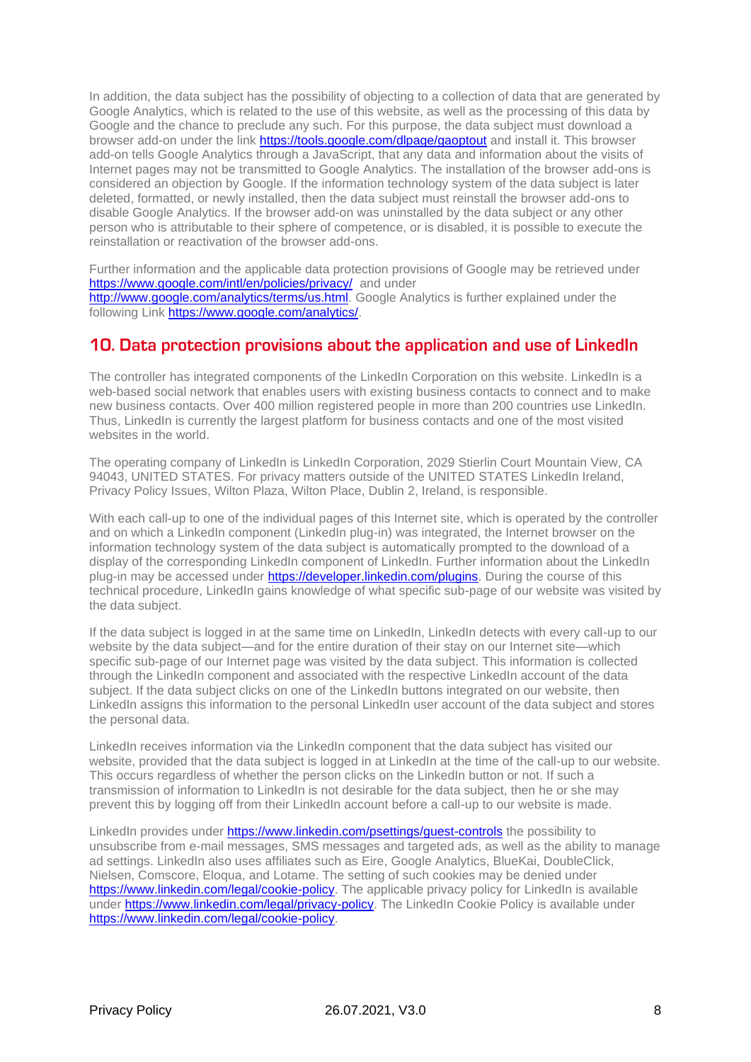In addition, the data subject has the possibility of objecting to a collection of data that are generated by Google Analytics, which is related to the use of this website, as well as the processing of this data by Google and the chance to preclude any such. For this purpose, the data subject must download a browser add-on under the link<https://tools.google.com/dlpage/gaoptout> and install it. This browser add-on tells Google Analytics through a JavaScript, that any data and information about the visits of Internet pages may not be transmitted to Google Analytics. The installation of the browser add-ons is considered an objection by Google. If the information technology system of the data subject is later deleted, formatted, or newly installed, then the data subject must reinstall the browser add-ons to disable Google Analytics. If the browser add-on was uninstalled by the data subject or any other person who is attributable to their sphere of competence, or is disabled, it is possible to execute the reinstallation or reactivation of the browser add-ons.

Further information and the applicable data protection provisions of Google may be retrieved under <https://www.google.com/intl/en/policies/privacy/> and under [http://www.google.com/analytics/terms/us.html.](http://www.google.com/analytics/terms/us.html) Google Analytics is further explained under the

following Link [https://www.google.com/analytics/.](https://www.google.com/analytics/)

# 10. Data protection provisions about the application and use of LinkedIn

The controller has integrated components of the LinkedIn Corporation on this website. LinkedIn is a web-based social network that enables users with existing business contacts to connect and to make new business contacts. Over 400 million registered people in more than 200 countries use LinkedIn. Thus, LinkedIn is currently the largest platform for business contacts and one of the most visited websites in the world.

The operating company of LinkedIn is LinkedIn Corporation, 2029 Stierlin Court Mountain View, CA 94043, UNITED STATES. For privacy matters outside of the UNITED STATES LinkedIn Ireland, Privacy Policy Issues, Wilton Plaza, Wilton Place, Dublin 2, Ireland, is responsible.

With each call-up to one of the individual pages of this Internet site, which is operated by the controller and on which a LinkedIn component (LinkedIn plug-in) was integrated, the Internet browser on the information technology system of the data subject is automatically prompted to the download of a display of the corresponding LinkedIn component of LinkedIn. Further information about the LinkedIn plug-in may be accessed under [https://developer.linkedin.com/plugins.](https://developer.linkedin.com/plugins) During the course of this technical procedure, LinkedIn gains knowledge of what specific sub-page of our website was visited by the data subject.

If the data subject is logged in at the same time on LinkedIn, LinkedIn detects with every call-up to our website by the data subject—and for the entire duration of their stay on our Internet site—which specific sub-page of our Internet page was visited by the data subject. This information is collected through the LinkedIn component and associated with the respective LinkedIn account of the data subject. If the data subject clicks on one of the LinkedIn buttons integrated on our website, then LinkedIn assigns this information to the personal LinkedIn user account of the data subject and stores the personal data.

LinkedIn receives information via the LinkedIn component that the data subject has visited our website, provided that the data subject is logged in at LinkedIn at the time of the call-up to our website. This occurs regardless of whether the person clicks on the LinkedIn button or not. If such a transmission of information to LinkedIn is not desirable for the data subject, then he or she may prevent this by logging off from their LinkedIn account before a call-up to our website is made.

LinkedIn provides under<https://www.linkedin.com/psettings/guest-controls> the possibility to unsubscribe from e-mail messages, SMS messages and targeted ads, as well as the ability to manage ad settings. LinkedIn also uses affiliates such as Eire, Google Analytics, BlueKai, DoubleClick, Nielsen, Comscore, Eloqua, and Lotame. The setting of such cookies may be denied under [https://www.linkedin.com/legal/cookie-policy.](https://www.linkedin.com/legal/cookie-policy) The applicable privacy policy for LinkedIn is available under [https://www.linkedin.com/legal/privacy-policy.](https://www.linkedin.com/legal/privacy-policy) The LinkedIn Cookie Policy is available under [https://www.linkedin.com/legal/cookie-policy.](https://www.linkedin.com/legal/cookie-policy)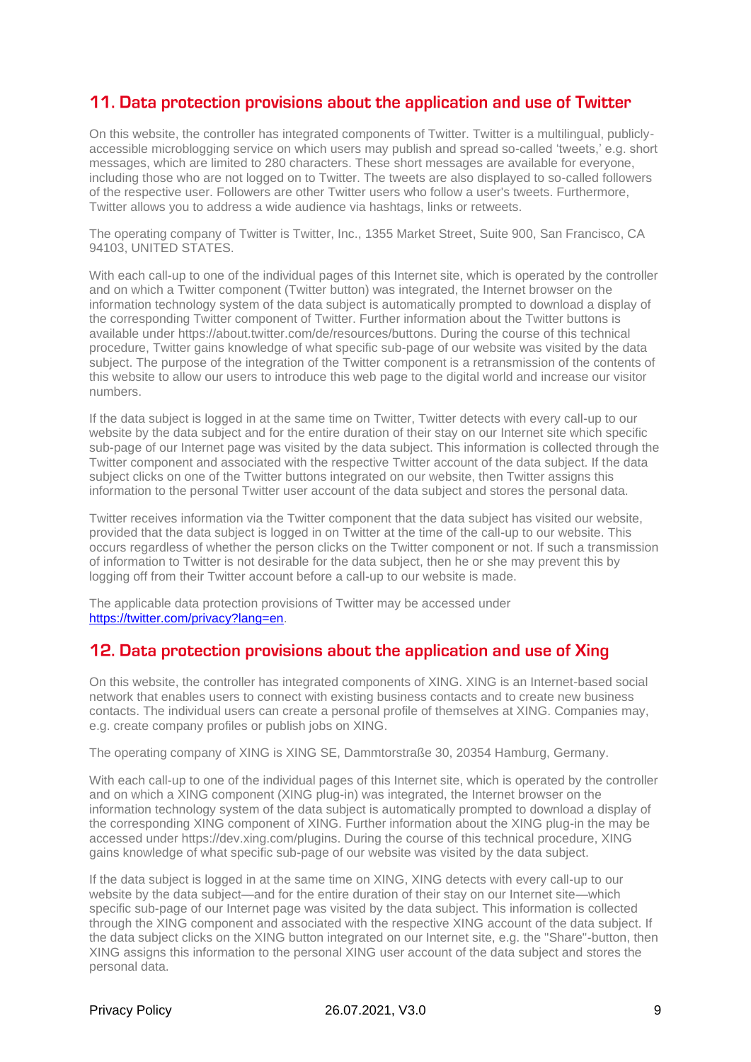# 11. Data protection provisions about the application and use of Twitter

On this website, the controller has integrated components of Twitter. Twitter is a multilingual, publiclyaccessible microblogging service on which users may publish and spread so-called 'tweets,' e.g. short messages, which are limited to 280 characters. These short messages are available for everyone, including those who are not logged on to Twitter. The tweets are also displayed to so-called followers of the respective user. Followers are other Twitter users who follow a user's tweets. Furthermore, Twitter allows you to address a wide audience via hashtags, links or retweets.

The operating company of Twitter is Twitter, Inc., 1355 Market Street, Suite 900, San Francisco, CA 94103, UNITED STATES.

With each call-up to one of the individual pages of this Internet site, which is operated by the controller and on which a Twitter component (Twitter button) was integrated, the Internet browser on the information technology system of the data subject is automatically prompted to download a display of the corresponding Twitter component of Twitter. Further information about the Twitter buttons is available under https://about.twitter.com/de/resources/buttons. During the course of this technical procedure, Twitter gains knowledge of what specific sub-page of our website was visited by the data subject. The purpose of the integration of the Twitter component is a retransmission of the contents of this website to allow our users to introduce this web page to the digital world and increase our visitor numbers.

If the data subject is logged in at the same time on Twitter, Twitter detects with every call-up to our website by the data subject and for the entire duration of their stay on our Internet site which specific sub-page of our Internet page was visited by the data subject. This information is collected through the Twitter component and associated with the respective Twitter account of the data subject. If the data subject clicks on one of the Twitter buttons integrated on our website, then Twitter assigns this information to the personal Twitter user account of the data subject and stores the personal data.

Twitter receives information via the Twitter component that the data subject has visited our website, provided that the data subject is logged in on Twitter at the time of the call-up to our website. This occurs regardless of whether the person clicks on the Twitter component or not. If such a transmission of information to Twitter is not desirable for the data subject, then he or she may prevent this by logging off from their Twitter account before a call-up to our website is made.

The applicable data protection provisions of Twitter may be accessed under [https://twitter.com/privacy?lang=en.](https://twitter.com/privacy?lang=en)

# 12. Data protection provisions about the application and use of Xing

On this website, the controller has integrated components of XING. XING is an Internet-based social network that enables users to connect with existing business contacts and to create new business contacts. The individual users can create a personal profile of themselves at XING. Companies may, e.g. create company profiles or publish jobs on XING.

The operating company of XING is XING SE, Dammtorstraße 30, 20354 Hamburg, Germany.

With each call-up to one of the individual pages of this Internet site, which is operated by the controller and on which a XING component (XING plug-in) was integrated, the Internet browser on the information technology system of the data subject is automatically prompted to download a display of the corresponding XING component of XING. Further information about the XING plug-in the may be accessed under https://dev.xing.com/plugins. During the course of this technical procedure, XING gains knowledge of what specific sub-page of our website was visited by the data subject.

If the data subject is logged in at the same time on XING, XING detects with every call-up to our website by the data subject—and for the entire duration of their stay on our Internet site—which specific sub-page of our Internet page was visited by the data subject. This information is collected through the XING component and associated with the respective XING account of the data subject. If the data subject clicks on the XING button integrated on our Internet site, e.g. the "Share"-button, then XING assigns this information to the personal XING user account of the data subject and stores the personal data.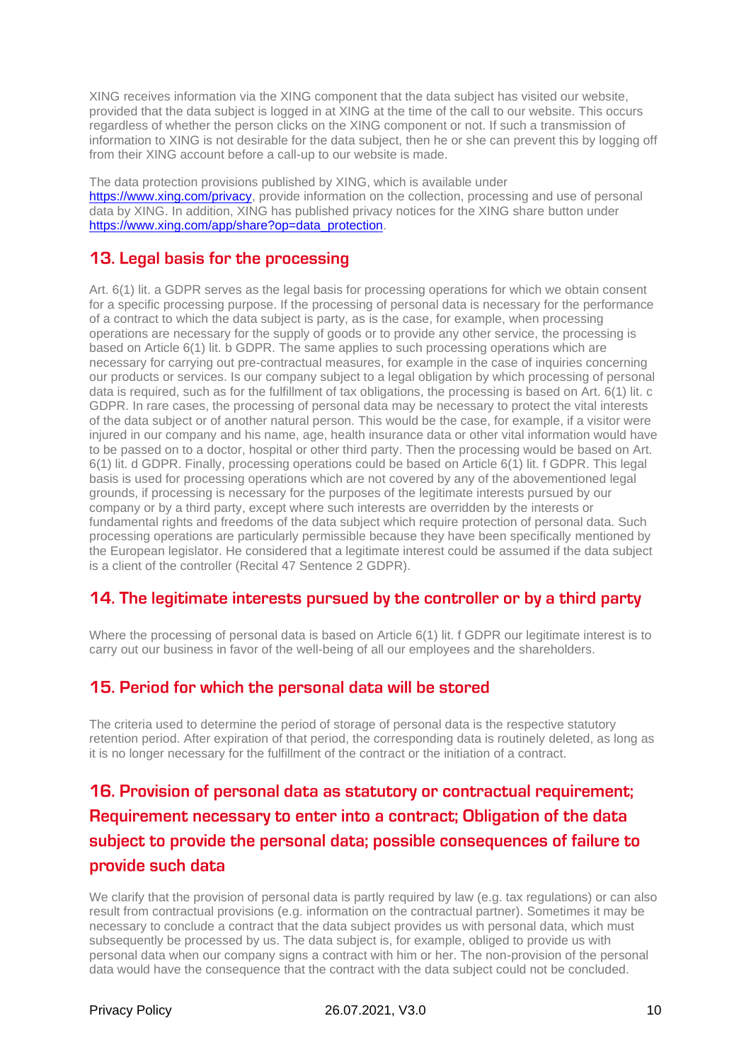XING receives information via the XING component that the data subject has visited our website, provided that the data subject is logged in at XING at the time of the call to our website. This occurs regardless of whether the person clicks on the XING component or not. If such a transmission of information to XING is not desirable for the data subject, then he or she can prevent this by logging off from their XING account before a call-up to our website is made.

The data protection provisions published by XING, which is available under [https://www.xing.com/privacy,](https://www.xing.com/privacy) provide information on the collection, processing and use of personal data by XING. In addition, XING has published privacy notices for the XING share button under [https://www.xing.com/app/share?op=data\\_protection.](https://www.xing.com/app/share?op=data_protection)

# 13. Legal basis for the processing

Art. 6(1) lit. a GDPR serves as the legal basis for processing operations for which we obtain consent for a specific processing purpose. If the processing of personal data is necessary for the performance of a contract to which the data subject is party, as is the case, for example, when processing operations are necessary for the supply of goods or to provide any other service, the processing is based on Article 6(1) lit. b GDPR. The same applies to such processing operations which are necessary for carrying out pre-contractual measures, for example in the case of inquiries concerning our products or services. Is our company subject to a legal obligation by which processing of personal data is required, such as for the fulfillment of tax obligations, the processing is based on Art. 6(1) lit. c GDPR. In rare cases, the processing of personal data may be necessary to protect the vital interests of the data subject or of another natural person. This would be the case, for example, if a visitor were injured in our company and his name, age, health insurance data or other vital information would have to be passed on to a doctor, hospital or other third party. Then the processing would be based on Art. 6(1) lit. d GDPR. Finally, processing operations could be based on Article 6(1) lit. f GDPR. This legal basis is used for processing operations which are not covered by any of the abovementioned legal grounds, if processing is necessary for the purposes of the legitimate interests pursued by our company or by a third party, except where such interests are overridden by the interests or fundamental rights and freedoms of the data subject which require protection of personal data. Such processing operations are particularly permissible because they have been specifically mentioned by the European legislator. He considered that a legitimate interest could be assumed if the data subject is a client of the controller (Recital 47 Sentence 2 GDPR).

# 14. The legitimate interests pursued by the controller or by a third party

Where the processing of personal data is based on Article 6(1) lit. f GDPR our legitimate interest is to carry out our business in favor of the well-being of all our employees and the shareholders.

# 15. Period for which the personal data will be stored

The criteria used to determine the period of storage of personal data is the respective statutory retention period. After expiration of that period, the corresponding data is routinely deleted, as long as it is no longer necessary for the fulfillment of the contract or the initiation of a contract.

# 16. Provision of personal data as statutory or contractual requirement; Requirement necessary to enter into a contract; Obligation of the data subject to provide the personal data; possible consequences of failure to provide such data

We clarify that the provision of personal data is partly required by law (e.g. tax regulations) or can also result from contractual provisions (e.g. information on the contractual partner). Sometimes it may be necessary to conclude a contract that the data subject provides us with personal data, which must subsequently be processed by us. The data subject is, for example, obliged to provide us with personal data when our company signs a contract with him or her. The non-provision of the personal data would have the consequence that the contract with the data subject could not be concluded.